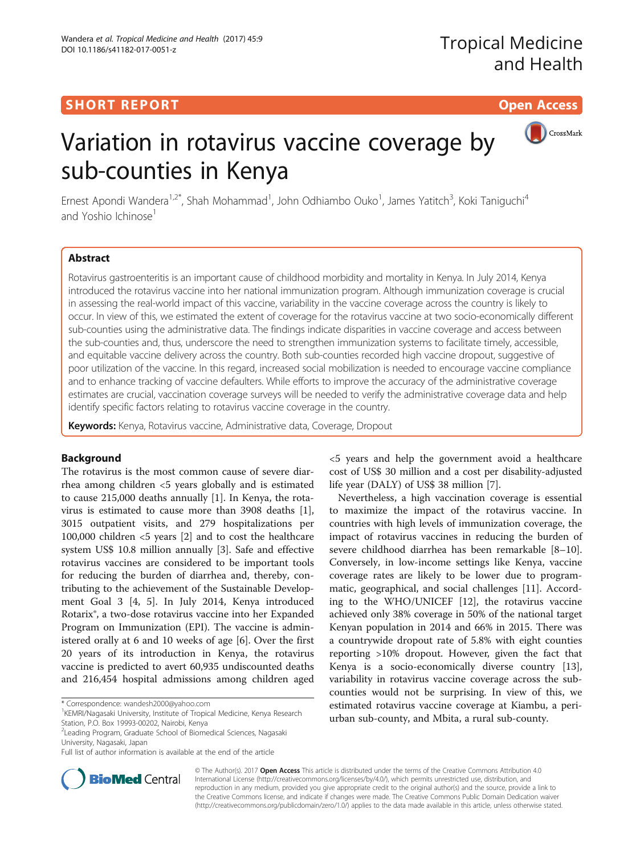# SHORT REPORT NAMEL AND THE SHORT CONSTRUCTION OF THE SHORT CONSTRUCTION OF THE SHOPT OF THE SHOPT OF THE SHOPT



# Variation in rotavirus vaccine coverage by sub-counties in Kenya

Ernest Apondi Wandera<sup>1,2\*</sup>, Shah Mohammad<sup>1</sup>, John Odhiambo Ouko<sup>1</sup>, James Yatitch<sup>3</sup>, Koki Taniguchi<sup>4</sup> and Yoshio Ichinose<sup>1</sup>

# Abstract

Rotavirus gastroenteritis is an important cause of childhood morbidity and mortality in Kenya. In July 2014, Kenya introduced the rotavirus vaccine into her national immunization program. Although immunization coverage is crucial in assessing the real-world impact of this vaccine, variability in the vaccine coverage across the country is likely to occur. In view of this, we estimated the extent of coverage for the rotavirus vaccine at two socio-economically different sub-counties using the administrative data. The findings indicate disparities in vaccine coverage and access between the sub-counties and, thus, underscore the need to strengthen immunization systems to facilitate timely, accessible, and equitable vaccine delivery across the country. Both sub-counties recorded high vaccine dropout, suggestive of poor utilization of the vaccine. In this regard, increased social mobilization is needed to encourage vaccine compliance and to enhance tracking of vaccine defaulters. While efforts to improve the accuracy of the administrative coverage estimates are crucial, vaccination coverage surveys will be needed to verify the administrative coverage data and help identify specific factors relating to rotavirus vaccine coverage in the country.

Keywords: Kenya, Rotavirus vaccine, Administrative data, Coverage, Dropout

# Background

The rotavirus is the most common cause of severe diarrhea among children <5 years globally and is estimated to cause 215,000 deaths annually [[1\]](#page-3-0). In Kenya, the rotavirus is estimated to cause more than 3908 deaths [\[1](#page-3-0)], 3015 outpatient visits, and 279 hospitalizations per 100,000 children <5 years [\[2\]](#page-3-0) and to cost the healthcare system US\$ 10.8 million annually [[3\]](#page-3-0). Safe and effective rotavirus vaccines are considered to be important tools for reducing the burden of diarrhea and, thereby, contributing to the achievement of the Sustainable Development Goal 3 [[4,](#page-3-0) [5\]](#page-4-0). In July 2014, Kenya introduced Rotarix®, a two-dose rotavirus vaccine into her Expanded Program on Immunization (EPI). The vaccine is administered orally at 6 and 10 weeks of age [[6](#page-4-0)]. Over the first 20 years of its introduction in Kenya, the rotavirus vaccine is predicted to avert 60,935 undiscounted deaths and 216,454 hospital admissions among children aged

<5 years and help the government avoid a healthcare cost of US\$ 30 million and a cost per disability-adjusted life year (DALY) of US\$ 38 million [\[7](#page-4-0)].

Nevertheless, a high vaccination coverage is essential to maximize the impact of the rotavirus vaccine. In countries with high levels of immunization coverage, the impact of rotavirus vaccines in reducing the burden of severe childhood diarrhea has been remarkable [[8](#page-4-0)–[10](#page-4-0)]. Conversely, in low-income settings like Kenya, vaccine coverage rates are likely to be lower due to programmatic, geographical, and social challenges [\[11\]](#page-4-0). According to the WHO/UNICEF [[12\]](#page-4-0), the rotavirus vaccine achieved only 38% coverage in 50% of the national target Kenyan population in 2014 and 66% in 2015. There was a countrywide dropout rate of 5.8% with eight counties reporting >10% dropout. However, given the fact that Kenya is a socio-economically diverse country [\[13](#page-4-0)], variability in rotavirus vaccine coverage across the subcounties would not be surprising. In view of this, we estimated rotavirus vaccine coverage at Kiambu, a periurban sub-county, and Mbita, a rural sub-county.



© The Author(s). 2017 **Open Access** This article is distributed under the terms of the Creative Commons Attribution 4.0 International License [\(http://creativecommons.org/licenses/by/4.0/](http://creativecommons.org/licenses/by/4.0/)), which permits unrestricted use, distribution, and reproduction in any medium, provided you give appropriate credit to the original author(s) and the source, provide a link to the Creative Commons license, and indicate if changes were made. The Creative Commons Public Domain Dedication waiver [\(http://creativecommons.org/publicdomain/zero/1.0/](http://creativecommons.org/publicdomain/zero/1.0/)) applies to the data made available in this article, unless otherwise stated.

<sup>\*</sup> Correspondence: [wandesh2000@yahoo.com](mailto:wandesh2000@yahoo.com) <sup>1</sup>

<sup>&</sup>lt;sup>1</sup>KEMRI/Nagasaki University, Institute of Tropical Medicine, Kenya Research Station, P.O. Box 19993-00202, Nairobi, Kenya

<sup>&</sup>lt;sup>2</sup> Leading Program, Graduate School of Biomedical Sciences, Nagasaki University, Nagasaki, Japan

Full list of author information is available at the end of the article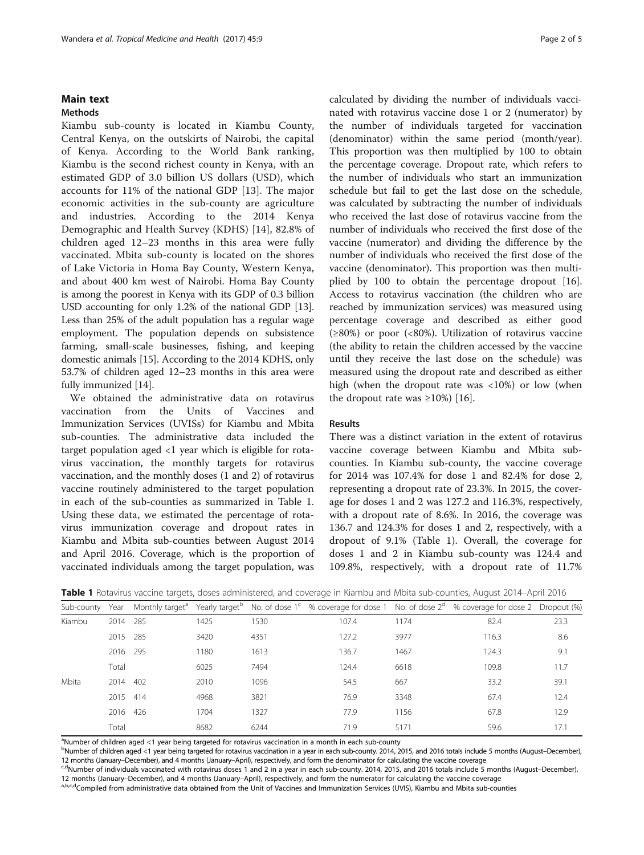# <span id="page-1-0"></span>Main text

# Methods

Kiambu sub-county is located in Kiambu County, Central Kenya, on the outskirts of Nairobi, the capital of Kenya. According to the World Bank ranking, Kiambu is the second richest county in Kenya, with an estimated GDP of 3.0 billion US dollars (USD), which accounts for 11% of the national GDP [[13\]](#page-4-0). The major economic activities in the sub-county are agriculture and industries. According to the 2014 Kenya Demographic and Health Survey (KDHS) [\[14](#page-4-0)], 82.8% of children aged 12–23 months in this area were fully vaccinated. Mbita sub-county is located on the shores of Lake Victoria in Homa Bay County, Western Kenya, and about 400 km west of Nairobi. Homa Bay County is among the poorest in Kenya with its GDP of 0.3 billion USD accounting for only 1.2% of the national GDP [[13](#page-4-0)]. Less than 25% of the adult population has a regular wage employment. The population depends on subsistence farming, small-scale businesses, fishing, and keeping domestic animals [\[15\]](#page-4-0). According to the 2014 KDHS, only 53.7% of children aged 12–23 months in this area were fully immunized [[14](#page-4-0)].

We obtained the administrative data on rotavirus vaccination from the Units of Vaccines and Immunization Services (UVISs) for Kiambu and Mbita sub-counties. The administrative data included the target population aged <1 year which is eligible for rotavirus vaccination, the monthly targets for rotavirus vaccination, and the monthly doses (1 and 2) of rotavirus vaccine routinely administered to the target population in each of the sub-counties as summarized in Table 1. Using these data, we estimated the percentage of rotavirus immunization coverage and dropout rates in Kiambu and Mbita sub-counties between August 2014 and April 2016. Coverage, which is the proportion of vaccinated individuals among the target population, was calculated by dividing the number of individuals vaccinated with rotavirus vaccine dose 1 or 2 (numerator) by the number of individuals targeted for vaccination (denominator) within the same period (month/year). This proportion was then multiplied by 100 to obtain the percentage coverage. Dropout rate, which refers to the number of individuals who start an immunization schedule but fail to get the last dose on the schedule, was calculated by subtracting the number of individuals who received the last dose of rotavirus vaccine from the number of individuals who received the first dose of the vaccine (numerator) and dividing the difference by the number of individuals who received the first dose of the vaccine (denominator). This proportion was then multiplied by 100 to obtain the percentage dropout [\[16](#page-4-0)]. Access to rotavirus vaccination (the children who are reached by immunization services) was measured using percentage coverage and described as either good (≥80%) or poor (<80%). Utilization of rotavirus vaccine (the ability to retain the children accessed by the vaccine until they receive the last dose on the schedule) was measured using the dropout rate and described as either high (when the dropout rate was <10%) or low (when the dropout rate was  $\geq 10\%$  [\[16](#page-4-0)].

## Results

There was a distinct variation in the extent of rotavirus vaccine coverage between Kiambu and Mbita subcounties. In Kiambu sub-county, the vaccine coverage for 2014 was 107.4% for dose 1 and 82.4% for dose 2, representing a dropout rate of 23.3%. In 2015, the coverage for doses 1 and 2 was 127.2 and 116.3%, respectively, with a dropout rate of 8.6%. In 2016, the coverage was 136.7 and 124.3% for doses 1 and 2, respectively, with a dropout of 9.1% (Table 1). Overall, the coverage for doses 1 and 2 in Kiambu sub-county was 124.4 and 109.8%, respectively, with a dropout rate of 11.7%

Table 1 Rotavirus vaccine targets, doses administered, and coverage in Kiambu and Mbita sub-counties, August 2014–April 2016

| <b>A WARD I</b> HOW HILL TO TO COMPUTE THE STATE OF THE MOTOR CONTINUES OF THE HISTORY COMPUTED THE MOTOR COMPUTER IN THE LOT OF THE LOT OF THE LOT OF THE LOT OF THE LOT OF THE LOT OF THE LOT OF THE LOT OF THE LOT OF THE LOT OF |          |  |      |      |                                                                                                                                                                      |      |       |      |
|-------------------------------------------------------------------------------------------------------------------------------------------------------------------------------------------------------------------------------------|----------|--|------|------|----------------------------------------------------------------------------------------------------------------------------------------------------------------------|------|-------|------|
| Sub-county                                                                                                                                                                                                                          | Year     |  |      |      | Monthly target <sup>a</sup> Yearly target <sup>b</sup> No. of dose 1 <sup>c</sup> % coverage for dose 1 No. of dose 2 <sup>d</sup> % coverage for dose 2 Dropout (%) |      |       |      |
| Kiambu                                                                                                                                                                                                                              | 2014 285 |  | 1425 | 1530 | 107.4                                                                                                                                                                | 1174 | 82.4  | 23.3 |
|                                                                                                                                                                                                                                     | 2015 285 |  | 3420 | 4351 | 127.2                                                                                                                                                                | 3977 | 116.3 | 8.6  |
|                                                                                                                                                                                                                                     | 2016 295 |  | 1180 | 1613 | 136.7                                                                                                                                                                | 1467 | 124.3 | 9.1  |
|                                                                                                                                                                                                                                     | Total    |  | 6025 | 7494 | 124.4                                                                                                                                                                | 6618 | 109.8 | 11.7 |
| Mbita                                                                                                                                                                                                                               | 2014 402 |  | 2010 | 1096 | 54.5                                                                                                                                                                 | 667  | 33.2  | 39.1 |
|                                                                                                                                                                                                                                     | 2015 414 |  | 4968 | 3821 | 76.9                                                                                                                                                                 | 3348 | 67.4  | 12.4 |
|                                                                                                                                                                                                                                     | 2016 426 |  | 1704 | 1327 | 77.9                                                                                                                                                                 | 1156 | 67.8  | 12.9 |
|                                                                                                                                                                                                                                     | Total    |  | 8682 | 6244 | 71.9                                                                                                                                                                 | 5171 | 59.6  | 17.1 |

<sup>a</sup>Number of children aged <1 year being targeted for rotavirus vaccination in a month in each sub-county

b Number of children aged <1 year being targeted for rotavirus vaccination in a year in each sub-county. 2014, 2015, and 2016 totals include 5 months (August–December),

12 months (January–December), and 4 months (January–April), respectively, and form the denominator for calculating the vaccine coverage<br><sup>c.d</sup>Number of individuals vaccinated with rotavirus doses 1 and 2 in a year in each s

a,b,c,dCompiled from administrative data obtained from the Unit of Vaccines and Immunization Services (UVIS), Kiambu and Mbita sub-counties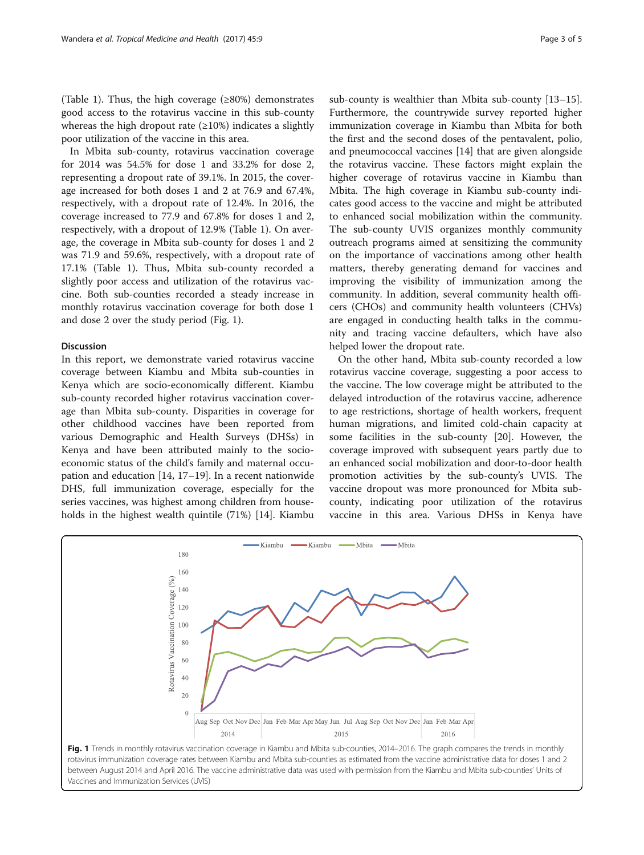(Table [1\)](#page-1-0). Thus, the high coverage (≥80%) demonstrates good access to the rotavirus vaccine in this sub-county whereas the high dropout rate  $(\geq 10\%)$  indicates a slightly poor utilization of the vaccine in this area.

In Mbita sub-county, rotavirus vaccination coverage for 2014 was 54.5% for dose 1 and 33.2% for dose 2, representing a dropout rate of 39.1%. In 2015, the coverage increased for both doses 1 and 2 at 76.9 and 67.4%, respectively, with a dropout rate of 12.4%. In 2016, the coverage increased to 77.9 and 67.8% for doses 1 and 2, respectively, with a dropout of 12.9% (Table [1\)](#page-1-0). On average, the coverage in Mbita sub-county for doses 1 and 2 was 71.9 and 59.6%, respectively, with a dropout rate of 17.1% (Table [1](#page-1-0)). Thus, Mbita sub-county recorded a slightly poor access and utilization of the rotavirus vaccine. Both sub-counties recorded a steady increase in monthly rotavirus vaccination coverage for both dose 1 and dose 2 over the study period (Fig. 1).

## **Discussion**

In this report, we demonstrate varied rotavirus vaccine coverage between Kiambu and Mbita sub-counties in Kenya which are socio-economically different. Kiambu sub-county recorded higher rotavirus vaccination coverage than Mbita sub-county. Disparities in coverage for other childhood vaccines have been reported from various Demographic and Health Surveys (DHSs) in Kenya and have been attributed mainly to the socioeconomic status of the child's family and maternal occupation and education [\[14](#page-4-0), [17](#page-4-0)–[19\]](#page-4-0). In a recent nationwide DHS, full immunization coverage, especially for the series vaccines, was highest among children from households in the highest wealth quintile (71%) [\[14](#page-4-0)]. Kiambu sub-county is wealthier than Mbita sub-county [[13](#page-4-0)–[15](#page-4-0)]. Furthermore, the countrywide survey reported higher immunization coverage in Kiambu than Mbita for both the first and the second doses of the pentavalent, polio, and pneumococcal vaccines [[14\]](#page-4-0) that are given alongside the rotavirus vaccine. These factors might explain the higher coverage of rotavirus vaccine in Kiambu than Mbita. The high coverage in Kiambu sub-county indicates good access to the vaccine and might be attributed to enhanced social mobilization within the community. The sub-county UVIS organizes monthly community outreach programs aimed at sensitizing the community on the importance of vaccinations among other health matters, thereby generating demand for vaccines and improving the visibility of immunization among the community. In addition, several community health officers (CHOs) and community health volunteers (CHVs) are engaged in conducting health talks in the community and tracing vaccine defaulters, which have also helped lower the dropout rate.

On the other hand, Mbita sub-county recorded a low rotavirus vaccine coverage, suggesting a poor access to the vaccine. The low coverage might be attributed to the delayed introduction of the rotavirus vaccine, adherence to age restrictions, shortage of health workers, frequent human migrations, and limited cold-chain capacity at some facilities in the sub-county [\[20\]](#page-4-0). However, the coverage improved with subsequent years partly due to an enhanced social mobilization and door-to-door health promotion activities by the sub-county's UVIS. The vaccine dropout was more pronounced for Mbita subcounty, indicating poor utilization of the rotavirus vaccine in this area. Various DHSs in Kenya have



Vaccines and Immunization Services (UVIS)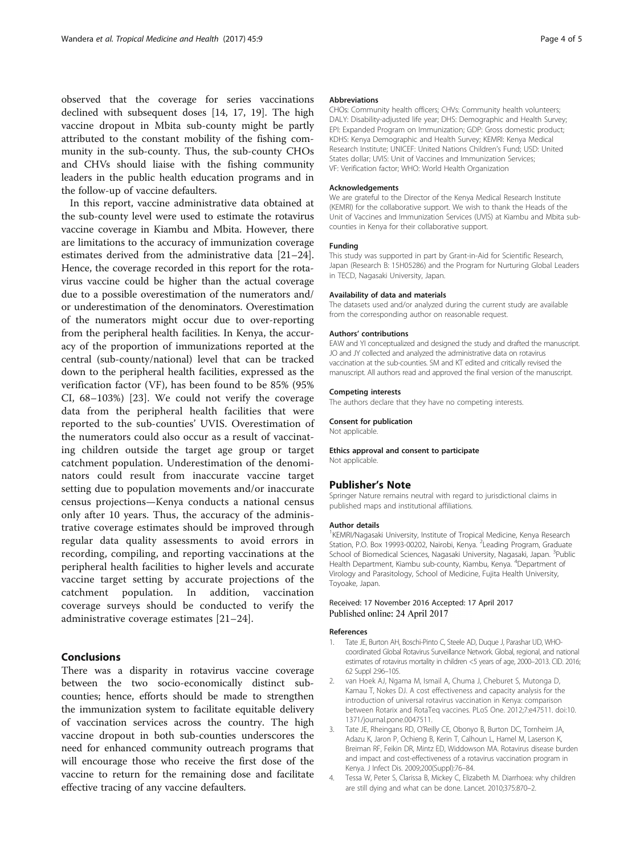<span id="page-3-0"></span>observed that the coverage for series vaccinations declined with subsequent doses [[14, 17](#page-4-0), [19\]](#page-4-0). The high vaccine dropout in Mbita sub-county might be partly attributed to the constant mobility of the fishing community in the sub-county. Thus, the sub-county CHOs and CHVs should liaise with the fishing community leaders in the public health education programs and in the follow-up of vaccine defaulters.

In this report, vaccine administrative data obtained at the sub-county level were used to estimate the rotavirus vaccine coverage in Kiambu and Mbita. However, there are limitations to the accuracy of immunization coverage estimates derived from the administrative data [[21](#page-4-0)–[24](#page-4-0)]. Hence, the coverage recorded in this report for the rotavirus vaccine could be higher than the actual coverage due to a possible overestimation of the numerators and/ or underestimation of the denominators. Overestimation of the numerators might occur due to over-reporting from the peripheral health facilities. In Kenya, the accuracy of the proportion of immunizations reported at the central (sub-county/national) level that can be tracked down to the peripheral health facilities, expressed as the verification factor (VF), has been found to be 85% (95% CI, 68–103%) [[23\]](#page-4-0). We could not verify the coverage data from the peripheral health facilities that were reported to the sub-counties' UVIS. Overestimation of the numerators could also occur as a result of vaccinating children outside the target age group or target catchment population. Underestimation of the denominators could result from inaccurate vaccine target setting due to population movements and/or inaccurate census projections—Kenya conducts a national census only after 10 years. Thus, the accuracy of the administrative coverage estimates should be improved through regular data quality assessments to avoid errors in recording, compiling, and reporting vaccinations at the peripheral health facilities to higher levels and accurate vaccine target setting by accurate projections of the catchment population. In addition, vaccination coverage surveys should be conducted to verify the administrative coverage estimates [[21](#page-4-0)–[24](#page-4-0)].

# Conclusions

There was a disparity in rotavirus vaccine coverage between the two socio-economically distinct subcounties; hence, efforts should be made to strengthen the immunization system to facilitate equitable delivery of vaccination services across the country. The high vaccine dropout in both sub-counties underscores the need for enhanced community outreach programs that will encourage those who receive the first dose of the vaccine to return for the remaining dose and facilitate effective tracing of any vaccine defaulters.

#### Abbreviations

CHOs: Community health officers; CHVs: Community health volunteers; DALY: Disability-adjusted life year; DHS: Demographic and Health Survey; EPI: Expanded Program on Immunization; GDP: Gross domestic product; KDHS: Kenya Demographic and Health Survey; KEMRI: Kenya Medical Research Institute; UNICEF: United Nations Children's Fund; USD: United States dollar; UVIS: Unit of Vaccines and Immunization Services; VF: Verification factor; WHO: World Health Organization

#### Acknowledgements

We are grateful to the Director of the Kenya Medical Research Institute (KEMRI) for the collaborative support. We wish to thank the Heads of the Unit of Vaccines and Immunization Services (UVIS) at Kiambu and Mbita subcounties in Kenya for their collaborative support.

#### Funding

This study was supported in part by Grant-in-Aid for Scientific Research, Japan (Research B: 15H05286) and the Program for Nurturing Global Leaders in TECD, Nagasaki University, Japan.

#### Availability of data and materials

The datasets used and/or analyzed during the current study are available from the corresponding author on reasonable request.

#### Authors' contributions

EAW and YI conceptualized and designed the study and drafted the manuscript. JO and JY collected and analyzed the administrative data on rotavirus vaccination at the sub-counties. SM and KT edited and critically revised the manuscript. All authors read and approved the final version of the manuscript.

#### Competing interests

The authors declare that they have no competing interests.

### Consent for publication

Not applicable.

#### Ethics approval and consent to participate Not applicable.

#### Publisher's Note

Springer Nature remains neutral with regard to jurisdictional claims in published maps and institutional affiliations.

#### Author details

<sup>1</sup>KEMRI/Nagasaki University, Institute of Tropical Medicine, Kenya Research Station, P.O. Box 19993-00202, Nairobi, Kenya. <sup>2</sup>Leading Program, Graduate School of Biomedical Sciences, Nagasaki University, Nagasaki, Japan. <sup>3</sup>Public Health Department, Kiambu sub-county, Kiambu, Kenya. <sup>4</sup> Department of Virology and Parasitology, School of Medicine, Fujita Health University, Toyoake, Japan.

## Received: 17 November 2016 Accepted: 17 April 2017 Published online: 24 April 2017

#### References

- 1. Tate JE, Burton AH, Boschi-Pinto C, Steele AD, Duque J, Parashar UD, WHOcoordinated Global Rotavirus Surveillance Network. Global, regional, and national estimates of rotavirus mortality in children <5 years of age, 2000–2013. CID. 2016; 62 Suppl 2:96–105.
- 2. van Hoek AJ, Ngama M, Ismail A, Chuma J, Cheburet S, Mutonga D, Kamau T, Nokes DJ. A cost effectiveness and capacity analysis for the introduction of universal rotavirus vaccination in Kenya: comparison between Rotarix and RotaTeq vaccines. PLoS One. 2012;7:e47511. doi:[10.](http://dx.doi.org/10.1371/journal.pone.0047511) [1371/journal.pone.0047511.](http://dx.doi.org/10.1371/journal.pone.0047511)
- 3. Tate JE, Rheingans RD, O'Reilly CE, Obonyo B, Burton DC, Tornheim JA, Adazu K, Jaron P, Ochieng B, Kerin T, Calhoun L, Hamel M, Laserson K, Breiman RF, Feikin DR, Mintz ED, Widdowson MA. Rotavirus disease burden and impact and cost-effectiveness of a rotavirus vaccination program in Kenya. J Infect Dis. 2009;200(Suppl):76–84.
- 4. Tessa W, Peter S, Clarissa B, Mickey C, Elizabeth M. Diarrhoea: why children are still dying and what can be done. Lancet. 2010;375:870–2.